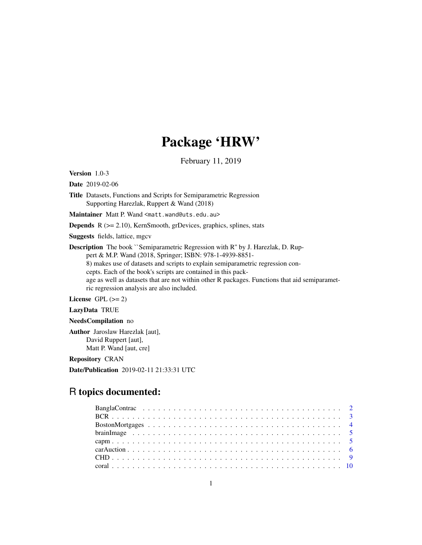# Package 'HRW'

February 11, 2019

Version 1.0-3

Date 2019-02-06

Title Datasets, Functions and Scripts for Semiparametric Regression Supporting Harezlak, Ruppert & Wand (2018)

Maintainer Matt P. Wand <matt.wand@uts.edu.au>

**Depends**  $R$  ( $>= 2.10$ ), KernSmooth, grDevices, graphics, splines, stats

Suggests fields, lattice, mgcv

Description The book ``Semiparametric Regression with R'' by J. Harezlak, D. Ruppert & M.P. Wand (2018, Springer; ISBN: 978-1-4939-8851- 8) makes use of datasets and scripts to explain semiparametric regression concepts. Each of the book's scripts are contained in this package as well as datasets that are not within other R packages. Functions that aid semiparametric regression analysis are also included.

License GPL  $(>= 2)$ 

LazyData TRUE

NeedsCompilation no

Author Jaroslaw Harezlak [aut], David Ruppert [aut], Matt P. Wand [aut, cre]

Repository CRAN

Date/Publication 2019-02-11 21:33:31 UTC

# R topics documented: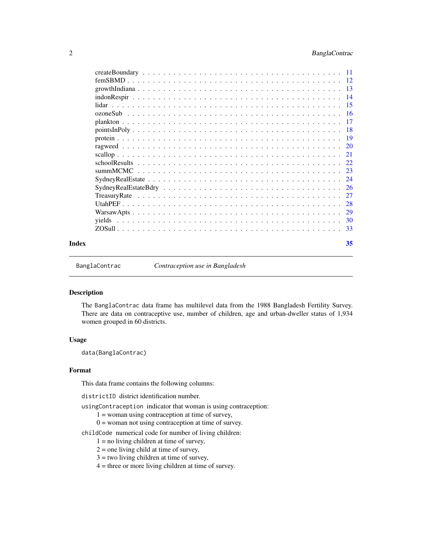# <span id="page-1-0"></span>2 BanglaContrac

|       | lidar                                                                                                                    |    |
|-------|--------------------------------------------------------------------------------------------------------------------------|----|
|       |                                                                                                                          |    |
|       |                                                                                                                          |    |
|       |                                                                                                                          |    |
|       |                                                                                                                          |    |
|       |                                                                                                                          |    |
|       |                                                                                                                          |    |
|       |                                                                                                                          |    |
|       | summMCMC                                                                                                                 |    |
|       | $SydneyRealEstate \dots \dots \dots \dots \dots \dots \dots \dots \dots \dots \dots \dots \dots \dots \dots \dots \dots$ |    |
|       |                                                                                                                          |    |
|       |                                                                                                                          |    |
|       |                                                                                                                          |    |
|       |                                                                                                                          |    |
|       |                                                                                                                          |    |
|       |                                                                                                                          |    |
| Index |                                                                                                                          | 35 |

BanglaContrac *Contraception use in Bangladesh*

# Description

The BanglaContrac data frame has multilevel data from the 1988 Bangladesh Fertility Survey. There are data on contraceptive use, number of children, age and urban-dweller status of 1,934 women grouped in 60 districts.

# Usage

data(BanglaContrac)

# Format

This data frame contains the following columns:

districtID district identification number.

- usingContraception indicator that woman is using contraception:
	- 1 = woman using contraception at time of survey,
	- $0 =$  woman not using contraception at time of survey.
- childCode numerical code for number of living children:
	- $1 =$  no living children at time of survey,
	- $2 =$  one living child at time of survey,
	- $3 =$  two living children at time of survey,
	- $4$  = three or more living children at time of survey.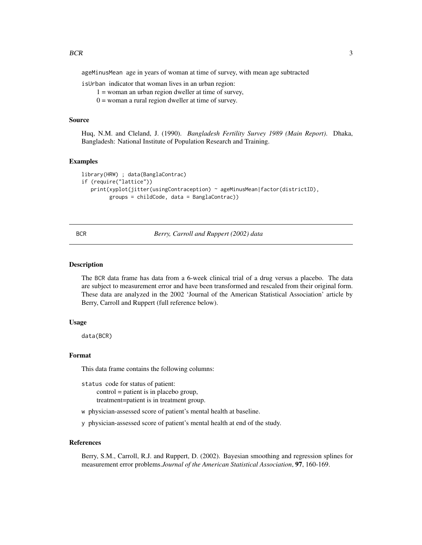<span id="page-2-0"></span>ageMinusMean age in years of woman at time of survey, with mean age subtracted

isUrban indicator that woman lives in an urban region:

1 = woman an urban region dweller at time of survey,

 $0 =$  woman a rural region dweller at time of survey.

# Source

Huq, N.M. and Cleland, J. (1990). *Bangladesh Fertility Survey 1989 (Main Report)*. Dhaka, Bangladesh: National Institute of Population Research and Training.

#### Examples

```
library(HRW) ; data(BanglaContrac)
if (require("lattice"))
  print(xyplot(jitter(usingContraception) ~ ageMinusMean|factor(districtID),
         groups = childCode, data = BanglaContrac))
```
# BCR *Berry, Carroll and Ruppert (2002) data*

# Description

The BCR data frame has data from a 6-week clinical trial of a drug versus a placebo. The data are subject to measurement error and have been transformed and rescaled from their original form. These data are analyzed in the 2002 'Journal of the American Statistical Association' article by Berry, Carroll and Ruppert (full reference below).

#### Usage

data(BCR)

# Format

This data frame contains the following columns:

status code for status of patient: control = patient is in placebo group, treatment=patient is in treatment group.

w physician-assessed score of patient's mental health at baseline.

y physician-assessed score of patient's mental health at end of the study.

# References

Berry, S.M., Carroll, R.J. and Ruppert, D. (2002). Bayesian smoothing and regression splines for measurement error problems.*Journal of the American Statistical Association*, 97, 160-169.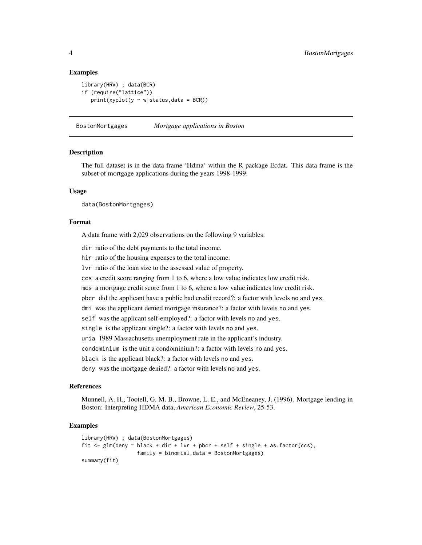# Examples

```
library(HRW) ; data(BCR)
if (require("lattice"))
   print(xyplot(y \sim w|status, data = BCR))
```
BostonMortgages *Mortgage applications in Boston*

# Description

The full dataset is in the data frame 'Hdma' within the R package Ecdat. This data frame is the subset of mortgage applications during the years 1998-1999.

# Usage

data(BostonMortgages)

#### Format

A data frame with 2,029 observations on the following 9 variables:

dir ratio of the debt payments to the total income.

hir ratio of the housing expenses to the total income.

lvr ratio of the loan size to the assessed value of property.

ccs a credit score ranging from 1 to 6, where a low value indicates low credit risk.

mcs a mortgage credit score from 1 to 6, where a low value indicates low credit risk.

pbcr did the applicant have a public bad credit record?: a factor with levels no and yes.

dmi was the applicant denied mortgage insurance?: a factor with levels no and yes.

self was the applicant self-employed?: a factor with levels no and yes.

single is the applicant single?: a factor with levels no and yes.

uria 1989 Massachusetts unemployment rate in the applicant's industry.

condominium is the unit a condominium?: a factor with levels no and yes.

black is the applicant black?: a factor with levels no and yes.

deny was the mortgage denied?: a factor with levels no and yes.

# References

Munnell, A. H., Tootell, G. M. B., Browne, L. E., and McEneaney, J. (1996). Mortgage lending in Boston: Interpreting HDMA data, *American Economic Review*, 25-53.

```
library(HRW) ; data(BostonMortgages)
fit \leq glm(deny \sim black + dir + lvr + pbcr + self + single + as.factor(ccs),
                  family = binomial,data = BostonMortgages)
summary(fit)
```
<span id="page-3-0"></span>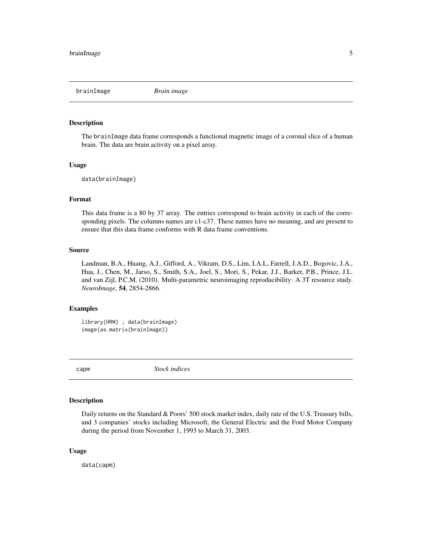<span id="page-4-0"></span>brainImage *Brain image*

#### Description

The brainImage data frame corresponds a functional magnetic image of a coronal slice of a human brain. The data are brain activity on a pixel array.

# Usage

data(brainImage)

# Format

This data frame is a 80 by 37 array. The entries correspond to brain activity in each of the corresponding pixels. The columns names are  $c1-c37$ . These names have no meaning, and are present to ensure that this data frame conforms with R data frame conventions.

#### Source

Landman, B.A., Huang, A.J., Gifford, A., Vikram, D.S., Lim, I.A.L, Farrell, J.A.D., Bogovic, J.A., Hua, J., Chen, M., Jarso, S., Smith, S.A., Joel, S., Mori, S., Pekar, J.J., Barker, P.B., Prince, J.L. and van Zijl, P.C.M. (2010). Multi-parametric neuroimaging reproducibility: A 3T resource study. *NeuroImage*, 54, 2854-2866.

# Examples

library(HRW) ; data(brainImage) image(as.matrix(brainImage))

capm *Stock indices*

# Description

Daily returns on the Standard & Poors' 500 stock market index, daily rate of the U.S. Treasury bills, and 3 companies' stocks including Microsoft, the General Electric and the Ford Motor Company during the period from November 1, 1993 to March 31, 2003.

# Usage

data(capm)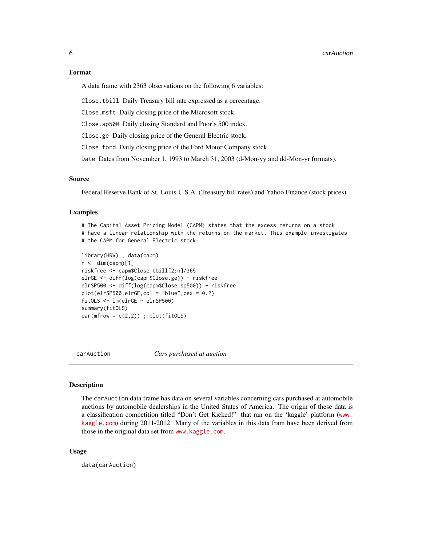# <span id="page-5-0"></span>Format

A data frame with 2363 observations on the following 6 variables:

Close.tbill Daily Treasury bill rate expressed as a percentage.

Close.msft Daily closing price of the Microsoft stock.

Close.sp500 Daily closing Standard and Poor's 500 index.

Close.ge Daily closing price of the General Electric stock.

Close.ford Daily closing price of the Ford Motor Company stock.

Date Dates from November 1, 1993 to March 31, 2003 (d-Mon-yy and dd-Mon-yr formats).

# Source

Federal Reserve Bank of St. Louis U.S.A. (Treasury bill rates) and Yahoo Finance (stock prices).

# Examples

# The Capital Asset Pricing Model (CAPM) states that the excess returns on a stock # have a linear relationship with the returns on the market. This example investigates # the CAPM for General Electric stock:

```
library(HRW) ; data(capm)
n \leq -\dim(\text{capm})[1]riskfree <- capm$Close.tbill[2:n]/365
elrGE <- diff(log(capm$Close.ge)) - riskfree
elrSP500 <- diff(log(capm$Close.sp500)) - riskfree
plot(elrSP500,elrGE,col = "blue",cex = 0.2)
fitOLS <- lm(elrGE ~ elrSP500)
summary(fitOLS)
par(mfrow = c(2,2)); plot(fitOLS)
```
carAuction *Cars purchased at auction*

# **Description**

The carAuction data frame has data on several variables concerning cars purchased at automobile auctions by automobile dealerships in the United States of America. The origin of these data is a classification competition titled "Don't Get Kicked!" that ran on the 'kaggle' platform ([www.](www.kaggle.com) [kaggle.com](www.kaggle.com)) during 2011-2012. Many of the variables in this data fram have been derived from those in the original data set from <www.kaggle.com>.

# Usage

data(carAuction)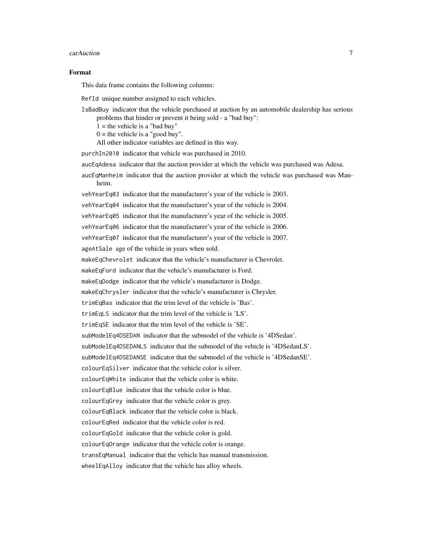#### $c$ arAuction 7

#### Format

This data frame contains the following columns:

RefId unique number assigned to each vehicles.

IsBadBuy indicator that the vehicle purchased at auction by an automobile dealership has serious problems that hinder or prevent it being sold - a "bad buy":

 $1 =$  the vehicle is a "bad buy"

 $0 =$  the vehicle is a "good buy".

All other indicator variables are defined in this way.

purchIn2010 indicator that vehicle was purchased in 2010.

aucEqAdesa indicator that the auction provider at which the vehicle was purchased was Adesa.

aucEqManheim indicator that the auction provider at which the vehicle was purchased was Manheim.

vehYearEq03 indicator that the manufacturer's year of the vehicle is 2003.

vehYearEq04 indicator that the manufacturer's year of the vehicle is 2004.

vehYearEq05 indicator that the manufacturer's year of the vehicle is 2005.

vehYearEq06 indicator that the manufacturer's year of the vehicle is 2006.

vehYearEq07 indicator that the manufacturer's year of the vehicle is 2007.

ageAtSale age of the vehicle in years when sold.

makeEqChevrolet indicator that the vehicle's manufacturer is Chevrolet.

makeEqFord indicator that the vehicle's manufacturer is Ford.

makeEqDodge indicator that the vehicle's manufacturer is Dodge.

makeEqChrysler indicator that the vehicle's manufacturer is Chrysler.

trimEqBas indicator that the trim level of the vehicle is 'Bas'.

trimEqLS indicator that the trim level of the vehicle is 'LS'.

trimEqSE indicator that the trim level of the vehicle is 'SE'.

subModelEq4DSEDAN indicator that the submodel of the vehicle is '4DSedan'.

subModelEq4DSEDANLS indicator that the submodel of the vehicle is '4DSedanLS'.

subModelEq4DSEDANSE indicator that the submodel of the vehicle is '4DSedanSE'.

colourEqSilver indicator that the vehicle color is silver.

colourEqWhite indicator that the vehicle color is white.

colourEqBlue indicator that the vehicle color is blue.

colourEqGrey indicator that the vehicle color is grey.

colourEqBlack indicator that the vehicle color is black.

colourEqRed indicator that the vehicle color is red.

colourEqGold indicator that the vehicle color is gold.

colourEqOrange indicator that the vehicle color is orange.

transEqManual indicator that the vehicle has manual transmission.

wheelEqAlloy indicator that the vehicle has alloy wheels.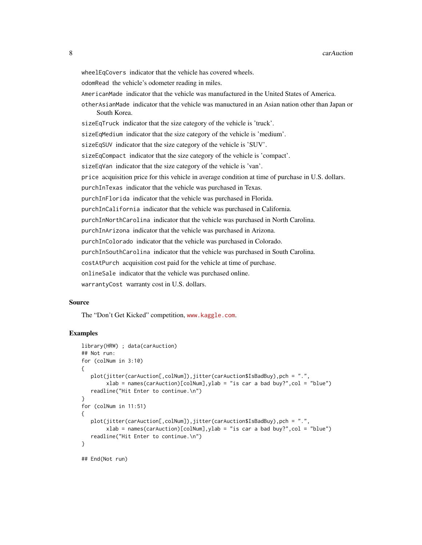wheelEqCovers indicator that the vehicle has covered wheels. odomRead the vehicle's odometer reading in miles. AmericanMade indicator that the vehicle was manufactured in the United States of America. otherAsianMade indicator that the vehicle was manuctured in an Asian nation other than Japan or South Korea. sizeEqTruck indicator that the size category of the vehicle is 'truck'. sizeEqMedium indicator that the size category of the vehicle is 'medium'. sizeEqSUV indicator that the size category of the vehicle is 'SUV'. sizeEqCompact indicator that the size category of the vehicle is 'compact'. sizeEqVan indicator that the size category of the vehicle is 'van'. price acquisition price for this vehicle in average condition at time of purchase in U.S. dollars. purchInTexas indicator that the vehicle was purchased in Texas. purchInFlorida indicator that the vehicle was purchased in Florida. purchInCalifornia indicator that the vehicle was purchased in California. purchInNorthCarolina indicator that the vehicle was purchased in North Carolina. purchInArizona indicator that the vehicle was purchased in Arizona. purchInColorado indicator that the vehicle was purchased in Colorado. purchInSouthCarolina indicator that the vehicle was purchased in South Carolina. costAtPurch acquisition cost paid for the vehicle at time of purchase. onlineSale indicator that the vehicle was purchased online. warrantyCost warranty cost in U.S. dollars.

# Source

The "Don't Get Kicked" competition, <www.kaggle.com>.

```
library(HRW) ; data(carAuction)
## Not run:
for (colNum in 3:10)
{
  plot(jitter(carAuction[,colNum]),jitter(carAuction$IsBadBuy),pch = ".",
        xlab = names(carAuction)[colNum], ylab = "is car a bad buy?", col = "blue")
   readline("Hit Enter to continue.\n")
}
for (colNum in 11:51)
{
  plot(jitter(carAuction[,colNum]),jitter(carAuction$IsBadBuy),pch = ".",
        xlab = names(carAuction)[colNum], ylab = "is car a bad buy?", col = "blue")
   readline("Hit Enter to continue.\n")
}
## End(Not run)
```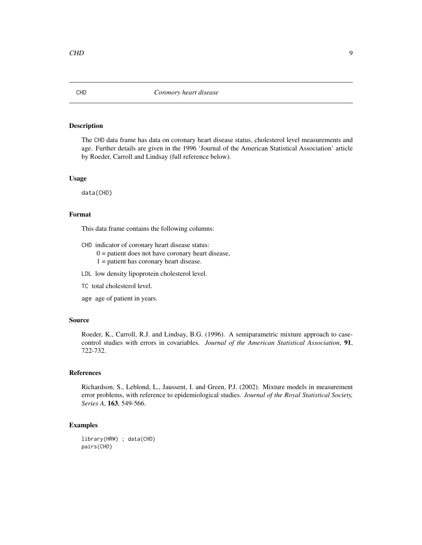<span id="page-8-0"></span>The CHD data frame has data on coronary heart disease status, cholesterol level measurements and age. Further details are given in the 1996 'Journal of the American Statistical Association' article by Roeder, Carroll and Lindsay (full reference below).

# Usage

data(CHD)

# Format

This data frame contains the following columns:

- CHD indicator of coronary heart disease status:
	- $0 =$  patient does not have coronary heart disease,  $1$  = patient has coronary heart disease.
- LDL low density lipoprotein cholesterol level.
- TC total cholesterol level.
- age age of patient in years.

# Source

Roeder, K., Carroll, R.J. and Lindsay, B.G. (1996). A semiparametric mixture approach to casecontrol studies with errors in covariables. *Journal of the American Statistical Association*, 91, 722-732.

# References

Richardson, S., Leblond, L., Jaussent, I. and Green, P.J. (2002). Mixture models in measurement error problems, with reference to epidemiological studies. *Journal of the Royal Statistical Society, Series A*, 163, 549-566.

# Examples

library(HRW) ; data(CHD) pairs(CHD)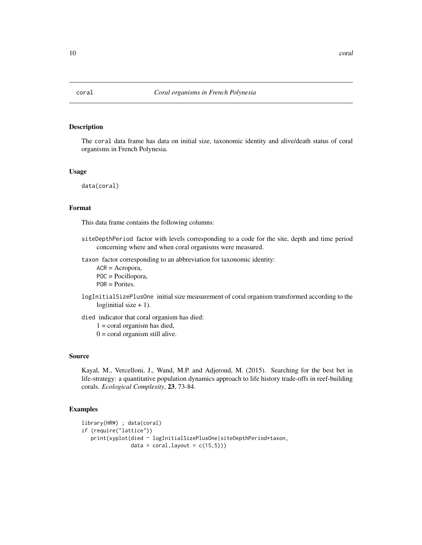<span id="page-9-0"></span>

The coral data frame has data on initial size, taxonomic identity and alive/death status of coral organisms in French Polynesia.

#### Usage

data(coral)

# Format

This data frame contains the following columns:

siteDepthPeriod factor with levels corresponding to a code for the site, depth and time period concerning where and when coral organisms were measured.

taxon factor corresponding to an abbreviation for taxonomic identity:

ACR = Acropora, POC = Pocillopora, POR = Porites.

logInitialSizePlusOne initial size measurement of coral organism transformed according to the  $log$ (initial size + 1).

died indicator that coral organism has died:

 $1 = \text{cord}$  organism has died,

 $0 = \text{coral organism still alive.}$ 

#### Source

Kayal, M., Vercelloni, J., Wand, M.P. and Adjeroud, M. (2015). Searching for the best bet in life-strategy: a quantitative population dynamics approach to life history trade-offs in reef-building corals. *Ecological Complexity*, 23, 73-84.

```
library(HRW) ; data(coral)
if (require("lattice"))
  print(xyplot(died ~ logInitialSizePlusOne|siteDepthPeriod*taxon,
               data = cord, layout = c(15,5))
```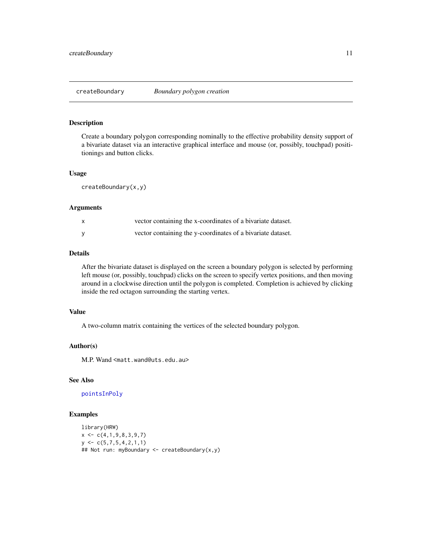<span id="page-10-1"></span><span id="page-10-0"></span>

Create a boundary polygon corresponding nominally to the effective probability density support of a bivariate dataset via an interactive graphical interface and mouse (or, possibly, touchpad) posititionings and button clicks.

# Usage

createBoundary(x,y)

#### Arguments

| vector containing the x-coordinates of a bivariate dataset. |
|-------------------------------------------------------------|
| vector containing the y-coordinates of a bivariate dataset. |

# Details

After the bivariate dataset is displayed on the screen a boundary polygon is selected by performing left mouse (or, possibly, touchpad) clicks on the screen to specify vertex positions, and then moving around in a clockwise direction until the polygon is completed. Completion is achieved by clicking inside the red octagon surrounding the starting vertex.

# Value

A two-column matrix containing the vertices of the selected boundary polygon.

#### Author(s)

M.P. Wand <matt.wand@uts.edu.au>

# See Also

[pointsInPoly](#page-17-1)

```
library(HRW)
x \leftarrow c(4, 1, 9, 8, 3, 9, 7)y \leftarrow c(5, 7, 5, 4, 2, 1, 1)## Not run: myBoundary <- createBoundary(x,y)
```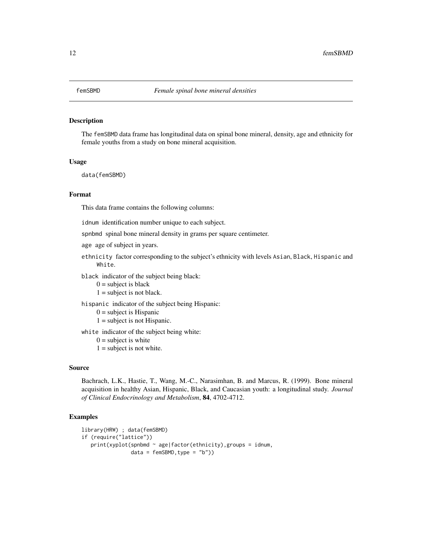<span id="page-11-0"></span>

The femSBMD data frame has longitudinal data on spinal bone mineral, density, age and ethnicity for female youths from a study on bone mineral acquisition.

#### Usage

data(femSBMD)

#### Format

This data frame contains the following columns:

idnum identification number unique to each subject.

spnbmd spinal bone mineral density in grams per square centimeter.

- age age of subject in years.
- ethnicity factor corresponding to the subject's ethnicity with levels Asian, Black, Hispanic and White.

black indicator of the subject being black:

 $0 =$  subject is black

 $1 =$  subject is not black.

hispanic indicator of the subject being Hispanic:

- $0 =$  subject is Hispanic
- $1 =$  subject is not Hispanic.

white indicator of the subject being white:

- $0 =$  subject is white
- $1 =$  subject is not white.

# Source

Bachrach, L.K., Hastie, T., Wang, M.-C., Narasimhan, B. and Marcus, R. (1999). Bone mineral acquisition in healthy Asian, Hispanic, Black, and Caucasian youth: a longitudinal study. *Journal of Clinical Endocrinology and Metabolism*, 84, 4702-4712.

```
library(HRW) ; data(femSBMD)
if (require("lattice"))
  print(xyplot(spnbmd ~ age|factor(ethnicity),groups = idnum,
                data = femSBMD, type = "b")
```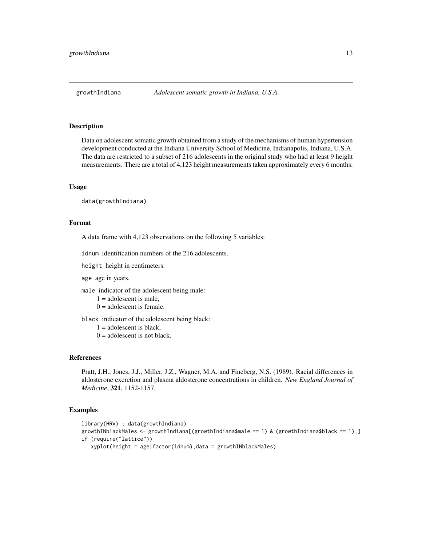<span id="page-12-0"></span>Data on adolescent somatic growth obtained from a study of the mechanisms of human hypertension development conducted at the Indiana University School of Medicine, Indianapolis, Indiana, U.S.A. The data are restricted to a subset of 216 adolescents in the original study who had at least 9 height measurements. There are a total of 4,123 height measurements taken approximately every 6 months.

# Usage

data(growthIndiana)

# Format

A data frame with 4,123 observations on the following 5 variables:

idnum identification numbers of the 216 adolescents.

height height in centimeters.

age age in years.

male indicator of the adolescent being male:

- $1 =$  adolescent is male,
- $0 =$  adolescent is female.

black indicator of the adolescent being black:

- $1 =$  adolescent is black,
- $0 =$  adolescent is not black.

#### References

Pratt, J.H., Jones, J.J., Miller, J.Z., Wagner, M.A. and Fineberg, N.S. (1989). Racial differences in aldosterone excretion and plasma aldosterone concentrations in children. *New England Journal of Medicine*, 321, 1152-1157.

```
library(HRW) ; data(growthIndiana)
growthINblackMales <- growthIndiana[(growthIndiana$male == 1) & (growthIndiana$black == 1),]
if (require("lattice"))
   xyplot(height ~ age|factor(idnum),data = growthINblackMales)
```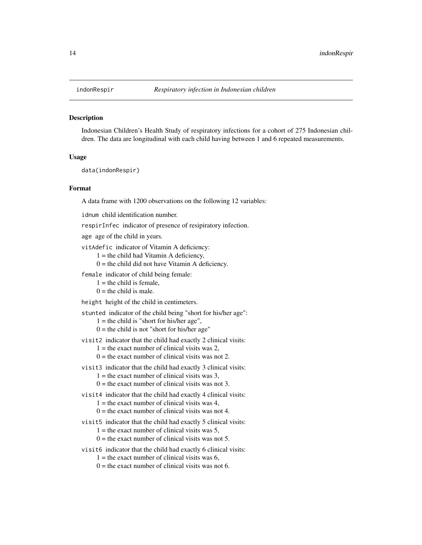<span id="page-13-0"></span>

Indonesian Children's Health Study of respiratory infections for a cohort of 275 Indonesian children. The data are longitudinal with each child having between 1 and 6 repeated measurements.

#### Usage

data(indonRespir)

#### Format

A data frame with 1200 observations on the following 12 variables:

idnum child identification number.

respirInfec indicator of presence of resipiratory infection.

age age of the child in years.

vitAdefic indicator of Vitamin A deficiency:

 $1 =$  the child had Vitamin A deficiency,

 $0 =$  the child did not have Vitamin A deficiency.

female indicator of child being female:

- $1 =$  the child is female,
- $0 =$  the child is male.

height height of the child in centimeters.

stunted indicator of the child being "short for his/her age":

- $1 =$  the child is "short for his/her age",
- $0 =$  the child is not "short for his/her age"
- visit2 indicator that the child had exactly 2 clinical visits:
	- $1 =$  the exact number of clinical visits was 2,
	- $0 =$  the exact number of clinical visits was not 2.
- visit3 indicator that the child had exactly 3 clinical visits:
	- $1 =$  the exact number of clinical visits was 3,
	- $0 =$  the exact number of clinical visits was not 3.
- visit4 indicator that the child had exactly 4 clinical visits:

 $1 =$  the exact number of clinical visits was 4.

- $0 =$  the exact number of clinical visits was not 4.
- visit5 indicator that the child had exactly 5 clinical visits:
	- $1 =$  the exact number of clinical visits was 5,
	- $0 =$  the exact number of clinical visits was not 5.
- visit6 indicator that the child had exactly 6 clinical visits:
	- $1 =$  the exact number of clinical visits was 6,
	- $0 =$  the exact number of clinical visits was not 6.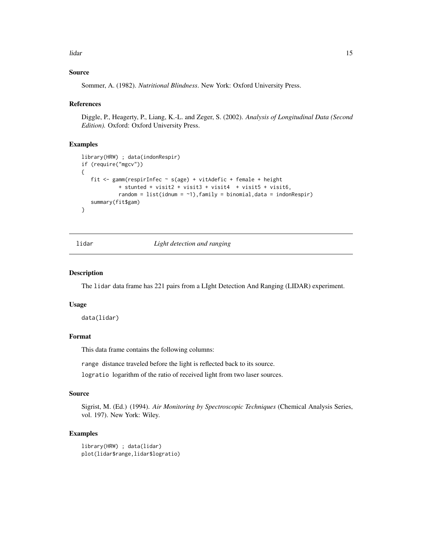<span id="page-14-0"></span>lidar tidak dan kecamatan di sebagai kecamatan di sebagai kecamatan di sebagai kecamatan di sebagai kecamatan <br>Terbanyak

# Source

Sommer, A. (1982). *Nutritional Blindness*. New York: Oxford University Press.

# References

Diggle, P., Heagerty, P., Liang, K.-L. and Zeger, S. (2002). *Analysis of Longitudinal Data (Second Edition).* Oxford: Oxford University Press.

# Examples

```
library(HRW) ; data(indonRespir)
if (require("mgcv"))
{
   fit <- gamm(respirInfec ~ s(age) + vitAdefic + female + height
            + stunted + visit2 + visit3 + visit4 + visit5 + visit6,
            random = list(idnum = \sim1), family = binomial, data = indonRespir)
   summary(fit$gam)
}
```
lidar *Light detection and ranging*

# Description

The lidar data frame has 221 pairs from a LIght Detection And Ranging (LIDAR) experiment.

#### Usage

data(lidar)

# Format

This data frame contains the following columns:

range distance traveled before the light is reflected back to its source.

logratio logarithm of the ratio of received light from two laser sources.

# Source

Sigrist, M. (Ed.) (1994). *Air Monitoring by Spectroscopic Techniques* (Chemical Analysis Series, vol. 197). New York: Wiley.

# Examples

library(HRW) ; data(lidar) plot(lidar\$range,lidar\$logratio)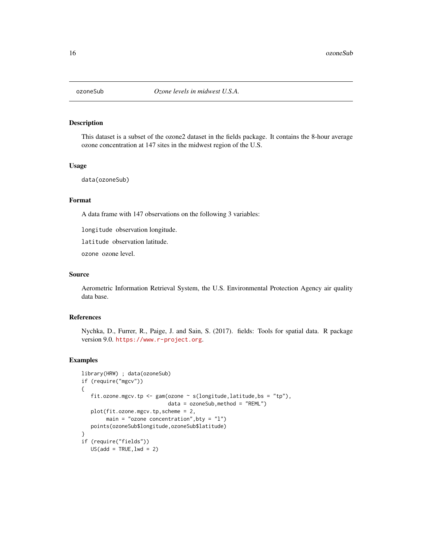<span id="page-15-0"></span>

This dataset is a subset of the ozone2 dataset in the fields package. It contains the 8-hour average ozone concentration at 147 sites in the midwest region of the U.S.

# Usage

data(ozoneSub)

# Format

A data frame with 147 observations on the following 3 variables:

longitude observation longitude.

latitude observation latitude.

ozone ozone level.

# Source

Aerometric Information Retrieval System, the U.S. Environmental Protection Agency air quality data base.

# References

Nychka, D., Furrer, R., Paige, J. and Sain, S. (2017). fields: Tools for spatial data. R package version 9.0. <https://www.r-project.org>.

```
library(HRW) ; data(ozoneSub)
if (require("mgcv"))
{
  fit.ozone.mgcv.tp <- gam(ozone ~ s(longitude,latitude,bs = "tp"),
                            data = ozoneSub, method = "REML")plot(fit.ozone.mgcv.tp,scheme = 2,
       main = "ozone concentration", bty = "1")
  points(ozoneSub$longitude,ozoneSub$latitude)
}
if (require("fields"))
  US(add = TRUE, lwd = 2)
```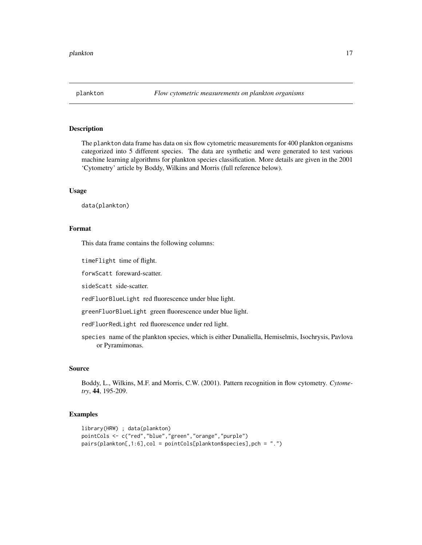<span id="page-16-0"></span>

The plankton data frame has data on six flow cytometric measurements for 400 plankton organisms categorized into 5 different species. The data are synthetic and were generated to test various machine learning algorithms for plankton species classification. More details are given in the 2001 'Cytometry' article by Boddy, Wilkins and Morris (full reference below).

# Usage

data(plankton)

#### Format

This data frame contains the following columns:

timeFlight time of flight.

forwScatt foreward-scatter.

sideScatt side-scatter.

redFluorBlueLight red fluorescence under blue light.

greenFluorBlueLight green fluorescence under blue light.

redFluorRedLight red fluorescence under red light.

species name of the plankton species, which is either Dunaliella, Hemiselmis, Isochrysis, Pavlova or Pyramimonas.

# Source

Boddy, L., Wilkins, M.F. and Morris, C.W. (2001). Pattern recognition in flow cytometry. *Cytometry*, 44, 195-209.

```
library(HRW) ; data(plankton)
pointCols <- c("red","blue","green","orange","purple")
pairs(plankton[,1:6],col = pointCols[plankton$species],pch = ".")
```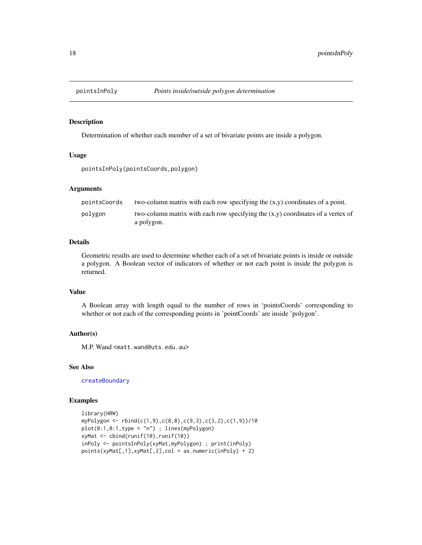<span id="page-17-1"></span><span id="page-17-0"></span>

Determination of whether each member of a set of bivariate points are inside a polygon.

# Usage

```
pointsInPoly(pointsCoords,polygon)
```
# Arguments

| pointsCoords | two-column matrix with each row specifying the $(x,y)$ coordinates of a point.    |
|--------------|-----------------------------------------------------------------------------------|
| polygon      | two-column matrix with each row specifying the $(x,y)$ coordinates of a vertex of |
|              | a polygon.                                                                        |

# Details

Geometric results are used to determine whether each of a set of bivariate points is inside or outside a polygon. A Boolean vector of indicators of whether or not each point is inside the polygon is returned.

# Value

A Boolean array with length equal to the number of rows in 'pointsCoords' corresponding to whether or not each of the corresponding points in 'pointCoords' are inside 'polygon'.

# Author(s)

M.P. Wand <matt.wand@uts.edu.au>

# See Also

[createBoundary](#page-10-1)

```
library(HRW)
myPolygon <- rbind(c(1,9),c(8,8),c(9,3),c(3,2),c(1,9))/10
plot(0:1,0:1,type = "n") ; lines(myPolygon)
xyMat <- cbind(runif(10),runif(10))
inPoly <- pointsInPoly(xyMat,myPolygon) ; print(inPoly)
points(xyMat[,1],xyMat[,2],col = as.numeric(inPoly) + 2)
```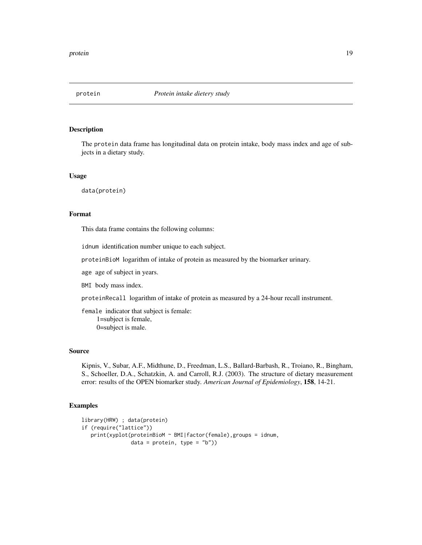<span id="page-18-0"></span>

The protein data frame has longitudinal data on protein intake, body mass index and age of subjects in a dietary study.

#### Usage

data(protein)

# Format

This data frame contains the following columns:

idnum identification number unique to each subject.

proteinBioM logarithm of intake of protein as measured by the biomarker urinary.

age age of subject in years.

BMI body mass index.

proteinRecall logarithm of intake of protein as measured by a 24-hour recall instrument.

female indicator that subject is female: 1=subject is female, 0=subject is male.

# Source

Kipnis, V., Subar, A.F., Midthune, D., Freedman, L.S., Ballard-Barbash, R., Troiano, R., Bingham, S., Schoeller, D.A., Schatzkin, A. and Carroll, R.J. (2003). The structure of dietary measurement error: results of the OPEN biomarker study. *American Journal of Epidemiology*, 158, 14-21.

```
library(HRW) ; data(protein)
if (require("lattice"))
  print(xyplot(proteinBioM ~ BMI|factor(female),groups = idnum,
                data = protein, type = "b")
```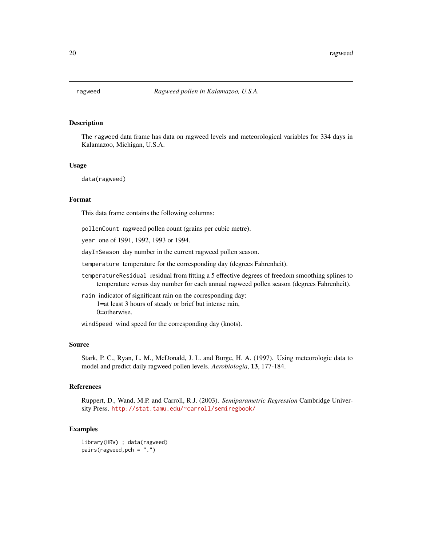<span id="page-19-0"></span>

The ragweed data frame has data on ragweed levels and meteorological variables for 334 days in Kalamazoo, Michigan, U.S.A.

# Usage

data(ragweed)

#### Format

This data frame contains the following columns:

pollenCount ragweed pollen count (grains per cubic metre).

year one of 1991, 1992, 1993 or 1994.

dayInSeason day number in the current ragweed pollen season.

temperature temperature for the corresponding day (degrees Fahrenheit).

temperatureResidual residual from fitting a 5 effective degrees of freedom smoothing splines to temperature versus day number for each annual ragweed pollen season (degrees Fahrenheit).

rain indicator of significant rain on the corresponding day: 1=at least 3 hours of steady or brief but intense rain, 0=otherwise.

windSpeed wind speed for the corresponding day (knots).

#### Source

Stark, P. C., Ryan, L. M., McDonald, J. L. and Burge, H. A. (1997). Using meteorologic data to model and predict daily ragweed pollen levels. *Aerobiologia*, 13, 177-184.

#### References

Ruppert, D., Wand, M.P. and Carroll, R.J. (2003). *Semiparametric Regression* Cambridge University Press. <http://stat.tamu.edu/~carroll/semiregbook/>

#### Examples

library(HRW) ; data(ragweed) pairs(ragweed,pch = ".")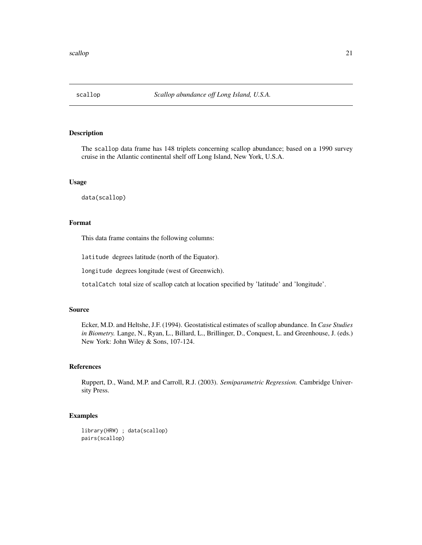<span id="page-20-0"></span>

The scallop data frame has 148 triplets concerning scallop abundance; based on a 1990 survey cruise in the Atlantic continental shelf off Long Island, New York, U.S.A.

# Usage

data(scallop)

# Format

This data frame contains the following columns:

latitude degrees latitude (north of the Equator).

longitude degrees longitude (west of Greenwich).

totalCatch total size of scallop catch at location specified by 'latitude' and 'longitude'.

# Source

Ecker, M.D. and Heltshe, J.F. (1994). Geostatistical estimates of scallop abundance. In *Case Studies in Biometry.* Lange, N., Ryan, L., Billard, L., Brillinger, D., Conquest, L. and Greenhouse, J. (eds.) New York: John Wiley & Sons, 107-124.

# References

Ruppert, D., Wand, M.P. and Carroll, R.J. (2003). *Semiparametric Regression.* Cambridge University Press.

# Examples

library(HRW) ; data(scallop) pairs(scallop)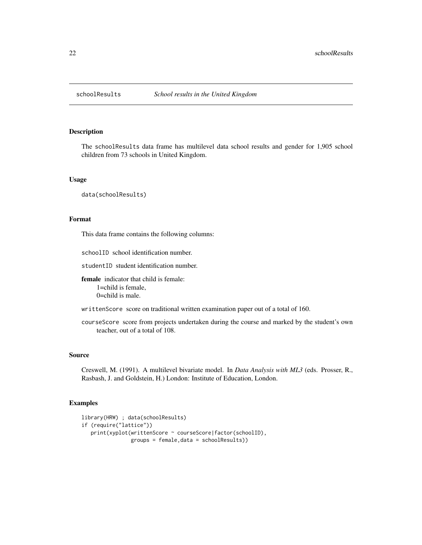<span id="page-21-0"></span>

The schoolResults data frame has multilevel data school results and gender for 1,905 school children from 73 schools in United Kingdom.

# Usage

data(schoolResults)

# Format

This data frame contains the following columns:

schoolID school identification number.

studentID student identification number.

female indicator that child is female: 1=child is female, 0=child is male.

writtenScore score on traditional written examination paper out of a total of 160.

courseScore score from projects undertaken during the course and marked by the student's own teacher, out of a total of 108.

#### Source

Creswell, M. (1991). A multilevel bivariate model. In *Data Analysis with ML3* (eds. Prosser, R., Rasbash, J. and Goldstein, H.) London: Institute of Education, London.

```
library(HRW) ; data(schoolResults)
if (require("lattice"))
  print(xyplot(writtenScore ~ courseScore|factor(schoolID),
                groups = female,data = schoolResults))
```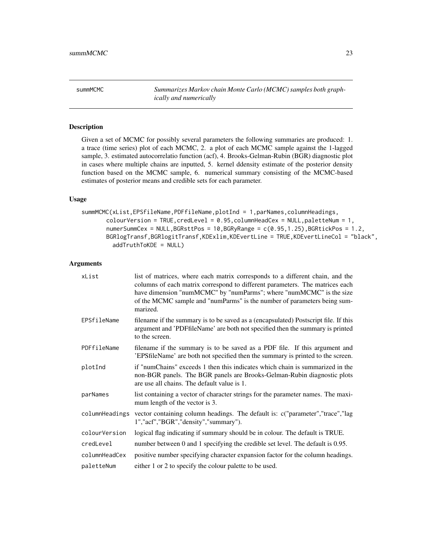<span id="page-22-0"></span>summMCMC *Summarizes Markov chain Monte Carlo (MCMC) samples both graphically and numerically*

# Description

Given a set of MCMC for possibly several parameters the following summaries are produced: 1. a trace (time series) plot of each MCMC, 2. a plot of each MCMC sample against the 1-lagged sample, 3. estimated autocorrelatio function (acf), 4. Brooks-Gelman-Rubin (BGR) diagnostic plot in cases where multiple chains are inputted, 5. kernel ddensity estimate of the posterior density function based on the MCMC sample, 6. numerical summary consisting of the MCMC-based estimates of posterior means and credible sets for each parameter.

# Usage

```
summMCMC(xList,EPSfileName,PDFfileName,plotInd = 1,parNames,columnHeadings,
       colourVersion = TRUE, credLevel = 0.95, columnHeadCex = NULL, paletteNum = 1,
       numerSummCex = NULL,BGRsttPos = 10,BGRyRange = c(0.95,1.25),BGRtickPos = 1.2,
       BGRlogTransf,BGRlogitTransf,KDExlim,KDEvertLine = TRUE,KDEvertLineCol = "black",
         addTruthToKDE = NULL)
```
# Arguments

| xList          | list of matrices, where each matrix corresponds to a different chain, and the<br>columns of each matrix correspond to different parameters. The matrices each<br>have dimension "numMCMC" by "numParms"; where "numMCMC" is the size<br>of the MCMC sample and "numParms" is the number of parameters being sum-<br>marized. |
|----------------|------------------------------------------------------------------------------------------------------------------------------------------------------------------------------------------------------------------------------------------------------------------------------------------------------------------------------|
| EPSfileName    | filename if the summary is to be saved as a (encapsulated) Postscript file. If this<br>argument and 'PDFfileName' are both not specified then the summary is printed<br>to the screen.                                                                                                                                       |
| PDFfileName    | filename if the summary is to be saved as a PDF file. If this argument and<br>'EPSfileName' are both not specified then the summary is printed to the screen.                                                                                                                                                                |
| plotInd        | if "numChains" exceeds 1 then this indicates which chain is summarized in the<br>non-BGR panels. The BGR panels are Brooks-Gelman-Rubin diagnostic plots<br>are use all chains. The default value is 1.                                                                                                                      |
| parNames       | list containing a vector of character strings for the parameter names. The maxi-<br>mum length of the vector is 3.                                                                                                                                                                                                           |
| columnHeadings | vector containing column headings. The default is: c("parameter","trace","lag<br>1","acf","BGR","density","summary").                                                                                                                                                                                                        |
| colourVersion  | logical flag indicating if summary should be in colour. The default is TRUE.                                                                                                                                                                                                                                                 |
| credLevel      | number between 0 and 1 specifying the credible set level. The default is 0.95.                                                                                                                                                                                                                                               |
| columnHeadCex  | positive number specifying character expansion factor for the column headings.                                                                                                                                                                                                                                               |
| paletteNum     | either 1 or 2 to specify the colour palette to be used.                                                                                                                                                                                                                                                                      |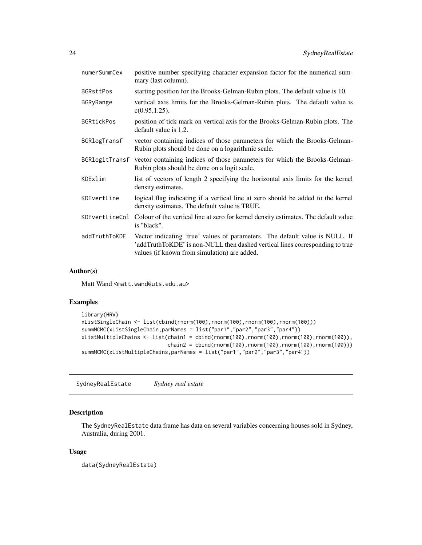<span id="page-23-0"></span>

| positive number specifying character expansion factor for the numerical sum-<br>mary (last column).                                                                                                          |
|--------------------------------------------------------------------------------------------------------------------------------------------------------------------------------------------------------------|
| starting position for the Brooks-Gelman-Rubin plots. The default value is 10.                                                                                                                                |
| vertical axis limits for the Brooks-Gelman-Rubin plots. The default value is<br>$c(0.95, 1.25)$ .                                                                                                            |
| position of tick mark on vertical axis for the Brooks-Gelman-Rubin plots. The<br>default value is 1.2.                                                                                                       |
| vector containing indices of those parameters for which the Brooks-Gelman-<br>Rubin plots should be done on a logarithmic scale.                                                                             |
| vector containing indices of those parameters for which the Brooks-Gelman-<br>Rubin plots should be done on a logit scale.                                                                                   |
| list of vectors of length 2 specifying the horizontal axis limits for the kernel<br>density estimates.                                                                                                       |
| logical flag indicating if a vertical line at zero should be added to the kernel<br>density estimates. The default value is TRUE.                                                                            |
| KDEvertLineCol<br>Colour of the vertical line at zero for kernel density estimates. The default value<br>is "black".                                                                                         |
| Vector indicating 'true' values of parameters. The default value is NULL. If<br>'addTruthToKDE' is non-NULL then dashed vertical lines corresponding to true<br>values (if known from simulation) are added. |
|                                                                                                                                                                                                              |

#### Author(s)

Matt Wand <matt.wand@uts.edu.au>

# Examples

```
library(HRW)
xListSingleChain <- list(cbind(rnorm(100),rnorm(100),rnorm(100),rnorm(100)))
summMCMC(xListSingleChain,parNames = list("par1","par2","par3","par4"))
xListMultipleChains <- list(chain1 = cbind(rnorm(100),rnorm(100),rnorm(100),rnorm(100)),
                            chain2 = cbind(rnorm(100),rnorm(100),rnorm(100),rnorm(100)))
summMCMC(xListMultipleChains,parNames = list("par1","par2","par3","par4"))
```
SydneyRealEstate *Sydney real estate*

# Description

The SydneyRealEstate data frame has data on several variables concerning houses sold in Sydney, Australia, during 2001.

#### Usage

data(SydneyRealEstate)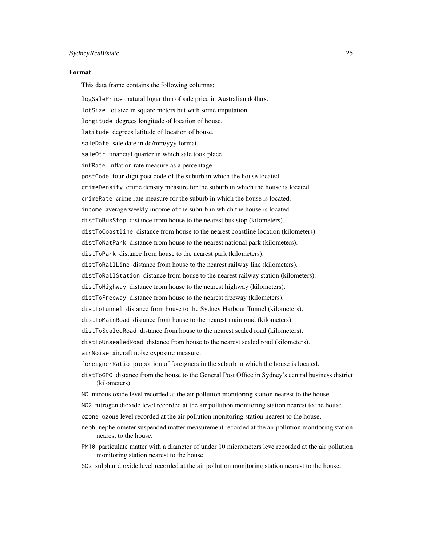#### Format

This data frame contains the following columns:

logSalePrice natural logarithm of sale price in Australian dollars. lotSize lot size in square meters but with some imputation. longitude degrees longitude of location of house. latitude degrees latitude of location of house. saleDate sale date in dd/mm/yyy format. saleQtr financial quarter in which sale took place. infRate inflation rate measure as a percentage. postCode four-digit post code of the suburb in which the house located. crimeDensity crime density measure for the suburb in which the house is located. crimeRate crime rate measure for the suburb in which the house is located. income average weekly income of the suburb in which the house is located. distToBusStop distance from house to the nearest bus stop (kilometers). distToCoastline distance from house to the nearest coastline location (kilometers). distToNatPark distance from house to the nearest national park (kilometers). distToPark distance from house to the nearest park (kilometers). distToRailLine distance from house to the nearest railway line (kilometers). distToRailStation distance from house to the nearest railway station (kilometers). distToHighway distance from house to the nearest highway (kilometers). distToFreeway distance from house to the nearest freeway (kilometers). distToTunnel distance from house to the Sydney Harbour Tunnel (kilometers). distToMainRoad distance from house to the nearest main road (kilometers). distToSealedRoad distance from house to the nearest sealed road (kilometers). distToUnsealedRoad distance from house to the nearest sealed road (kilometers). airNoise aircraft noise exposure measure. foreignerRatio proportion of foreigners in the suburb in which the house is located. distToGPO distance from the house to the General Post Office in Sydney's central business district (kilometers). NO nitrous oxide level recorded at the air pollution monitoring station nearest to the house. NO2 nitrogen dioxide level recorded at the air pollution monitoring station nearest to the house. ozone ozone level recorded at the air pollution monitoring station nearest to the house. neph nephelometer suspended matter measurement recorded at the air pollution monitoring station nearest to the house. PM10 particulate matter with a diameter of under 10 micrometers leve recorded at the air pollution monitoring station nearest to the house.

SO2 sulphur dioxide level recorded at the air pollution monitoring station nearest to the house.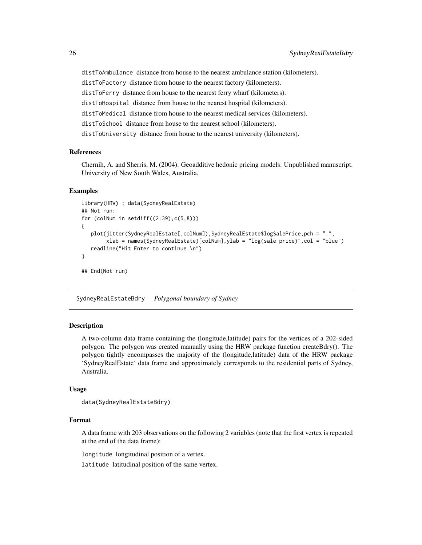distToAmbulance distance from house to the nearest ambulance station (kilometers). distToFactory distance from house to the nearest factory (kilometers). distToFerry distance from house to the nearest ferry wharf (kilometers). distToHospital distance from house to the nearest hospital (kilometers). distToMedical distance from house to the nearest medical services (kilometers). distToSchool distance from house to the nearest school (kilometers). distToUniversity distance from house to the nearest university (kilometers).

# References

Chernih, A. and Sherris, M. (2004). Geoadditive hedonic pricing models. Unpublished manuscript. University of New South Wales, Australia.

# Examples

```
library(HRW) ; data(SydneyRealEstate)
## Not run:
for (colNum in setdiff((2:39),c(5,8)))
{
  plot(jitter(SydneyRealEstate[,colNum]),SydneyRealEstate$logSalePrice,pch = ".",
        xlab = names(SydneyRealEstate)[colNum],ylab = "log(sale price)",col = "blue")
   readline("Hit Enter to continue.\n")
}
## End(Not run)
```
SydneyRealEstateBdry *Polygonal boundary of Sydney*

# Description

A two-column data frame containing the (longitude,latitude) pairs for the vertices of a 202-sided polygon. The polygon was created manually using the HRW package function createBdry(). The polygon tightly encompasses the majority of the (longitude,latitude) data of the HRW package 'SydneyRealEstate' data frame and approximately corresponds to the residential parts of Sydney, Australia.

# Usage

```
data(SydneyRealEstateBdry)
```
# Format

A data frame with 203 observations on the following 2 variables (note that the first vertex is repeated at the end of the data frame):

longitude longitudinal position of a vertex.

latitude latitudinal position of the same vertex.

<span id="page-25-0"></span>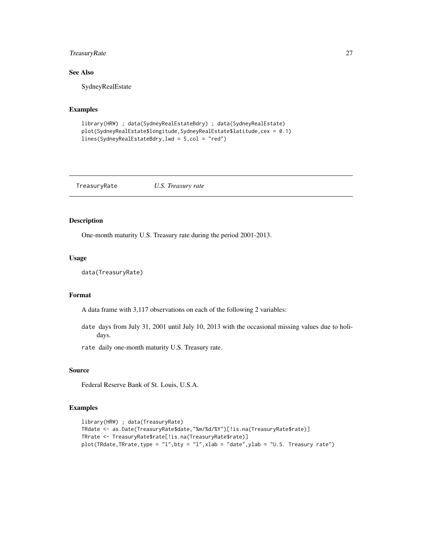# <span id="page-26-0"></span>TreasuryRate 27

# See Also

SydneyRealEstate

# Examples

```
library(HRW) ; data(SydneyRealEstateBdry) ; data(SydneyRealEstate)
plot(SydneyRealEstate$longitude,SydneyRealEstate$latitude,cex = 0.1)
lines(SydneyRealEstateBdry,lwd = 5,col = "red")
```
TreasuryRate *U.S. Treasury rate*

# Description

One-month maturity U.S. Treasury rate during the period 2001-2013.

# Usage

```
data(TreasuryRate)
```
# Format

A data frame with 3,117 observations on each of the following 2 variables:

date days from July 31, 2001 until July 10, 2013 with the occasional missing values due to holidays.

rate daily one-month maturity U.S. Treasury rate.

#### Source

Federal Reserve Bank of St. Louis, U.S.A.

```
library(HRW) ; data(TreasuryRate)
TRdate <- as.Date(TreasuryRate$date,"%m/%d/%Y")[!is.na(TreasuryRate$rate)]
TRrate <- TreasuryRate$rate[!is.na(TreasuryRate$rate)]
plot(TRdate,TRrate,type = "l",bty = "l",xlab = "date",ylab = "U.S. Treasury rate")
```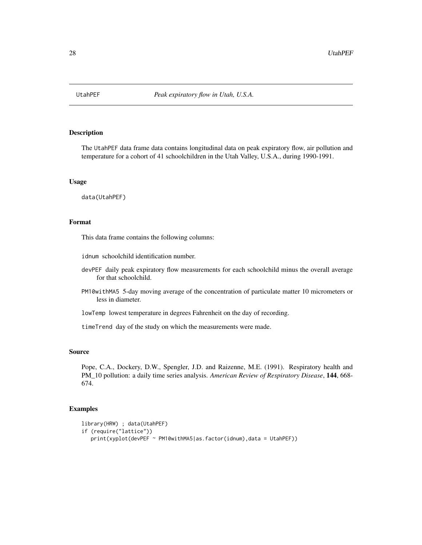<span id="page-27-0"></span>

The UtahPEF data frame data contains longitudinal data on peak expiratory flow, air pollution and temperature for a cohort of 41 schoolchildren in the Utah Valley, U.S.A., during 1990-1991.

### Usage

data(UtahPEF)

# Format

This data frame contains the following columns:

idnum schoolchild identification number.

- devPEF daily peak expiratory flow measurements for each schoolchild minus the overall average for that schoolchild.
- PM10withMA5 5-day moving average of the concentration of particulate matter 10 micrometers or less in diameter.
- lowTemp lowest temperature in degrees Fahrenheit on the day of recording.

timeTrend day of the study on which the measurements were made.

# Source

Pope, C.A., Dockery, D.W., Spengler, J.D. and Raizenne, M.E. (1991). Respiratory health and PM\_10 pollution: a daily time series analysis. *American Review of Respiratory Disease*, 144, 668- 674.

```
library(HRW) ; data(UtahPEF)
if (require("lattice"))
  print(xyplot(devPEF ~ PM10withMA5|as.factor(idnum),data = UtahPEF))
```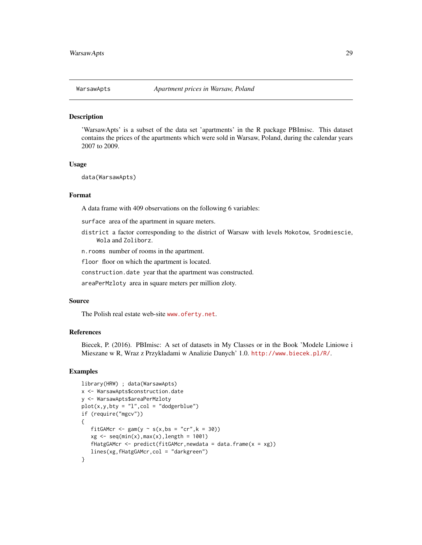<span id="page-28-0"></span>

'WarsawApts' is a subset of the data set 'apartments' in the R package PBImisc. This dataset contains the prices of the apartments which were sold in Warsaw, Poland, during the calendar years 2007 to 2009.

#### Usage

```
data(WarsawApts)
```
#### Format

A data frame with 409 observations on the following 6 variables:

surface area of the apartment in square meters.

district a factor corresponding to the district of Warsaw with levels Mokotow, Srodmiescie, Wola and Zoliborz.

n.rooms number of rooms in the apartment.

floor floor on which the apartment is located.

construction.date year that the apartment was constructed.

areaPerMzloty area in square meters per million zloty.

#### Source

The Polish real estate web-site <www.oferty.net>.

# References

Biecek, P. (2016). PBImisc: A set of datasets in My Classes or in the Book 'Modele Liniowe i Mieszane w R, Wraz z Przykladami w Analizie Danych' 1.0. <http://www.biecek.pl/R/>.

```
library(HRW) ; data(WarsawApts)
x <- WarsawApts$construction.date
y <- WarsawApts$areaPerMzloty
plot(x,y,bty = "l", col = "dodgerblue")if (require("mgcv"))
{
   fitGAMcr <- gam(y \sim s(x, bs = "cr", k = 30))xg \leftarrow seq(min(x),max(x),length = 1001)fHatgGAMcr <- predict(fitGAMcr, newdata = data.frame(x = xg))lines(xg,fHatgGAMcr,col = "darkgreen")
}
```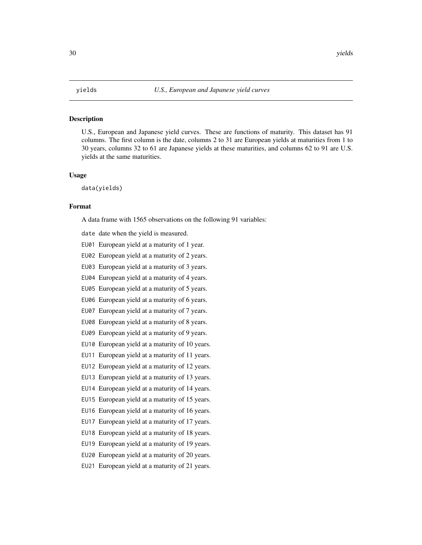<span id="page-29-0"></span>U.S., European and Japanese yield curves. These are functions of maturity. This dataset has 91 columns. The first column is the date, columns 2 to 31 are European yields at maturities from 1 to 30 years, columns 32 to 61 are Japanese yields at these maturities, and columns 62 to 91 are U.S. yields at the same maturities.

# Usage

data(yields)

#### Format

A data frame with 1565 observations on the following 91 variables:

- date date when the yield is measured.
- EU01 European yield at a maturity of 1 year.
- EU02 European yield at a maturity of 2 years.
- EU03 European yield at a maturity of 3 years.
- EU04 European yield at a maturity of 4 years.
- EU05 European yield at a maturity of 5 years.
- EU06 European yield at a maturity of 6 years.
- EU07 European yield at a maturity of 7 years.
- EU08 European yield at a maturity of 8 years.
- EU09 European yield at a maturity of 9 years.
- EU10 European yield at a maturity of 10 years.
- EU11 European yield at a maturity of 11 years.
- EU12 European yield at a maturity of 12 years.
- EU13 European yield at a maturity of 13 years.
- EU14 European yield at a maturity of 14 years.
- EU15 European yield at a maturity of 15 years.
- EU16 European yield at a maturity of 16 years.
- EU17 European yield at a maturity of 17 years.
- EU18 European yield at a maturity of 18 years.
- EU19 European yield at a maturity of 19 years.
- EU20 European yield at a maturity of 20 years.
- EU21 European yield at a maturity of 21 years.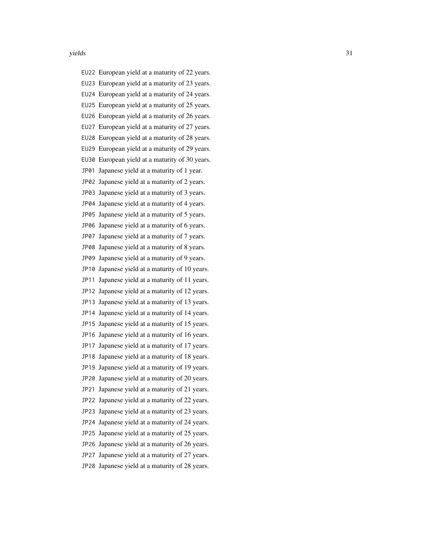EU22 European yield at a maturity of 22 years. EU23 European yield at a maturity of 23 years. EU24 European yield at a maturity of 24 years. EU25 European yield at a maturity of 25 years. EU26 European yield at a maturity of 26 years. EU27 European yield at a maturity of 27 years. EU28 European yield at a maturity of 28 years. EU29 European yield at a maturity of 29 years. EU30 European yield at a maturity of 30 years. JP01 Japanese yield at a maturity of 1 year. JP02 Japanese yield at a maturity of 2 years. JP03 Japanese yield at a maturity of 3 years. JP04 Japanese yield at a maturity of 4 years. JP05 Japanese yield at a maturity of 5 years. JP06 Japanese yield at a maturity of 6 years. JP07 Japanese yield at a maturity of 7 years. JP08 Japanese yield at a maturity of 8 years. JP09 Japanese yield at a maturity of 9 years. JP10 Japanese yield at a maturity of 10 years. JP11 Japanese yield at a maturity of 11 years. JP12 Japanese yield at a maturity of 12 years. JP13 Japanese yield at a maturity of 13 years. JP14 Japanese yield at a maturity of 14 years. JP15 Japanese yield at a maturity of 15 years. JP16 Japanese yield at a maturity of 16 years. JP17 Japanese yield at a maturity of 17 years. JP18 Japanese yield at a maturity of 18 years. JP19 Japanese yield at a maturity of 19 years. JP20 Japanese yield at a maturity of 20 years. JP21 Japanese yield at a maturity of 21 years. JP22 Japanese yield at a maturity of 22 years. JP23 Japanese yield at a maturity of 23 years. JP24 Japanese yield at a maturity of 24 years. JP25 Japanese yield at a maturity of 25 years. JP26 Japanese yield at a maturity of 26 years. JP27 Japanese yield at a maturity of 27 years. JP28 Japanese yield at a maturity of 28 years.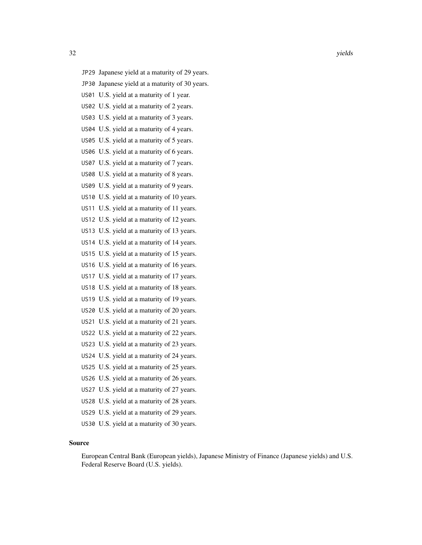- JP29 Japanese yield at a maturity of 29 years. JP30 Japanese yield at a maturity of 30 years. US01 U.S. yield at a maturity of 1 year. US02 U.S. yield at a maturity of 2 years. US03 U.S. yield at a maturity of 3 years. US04 U.S. yield at a maturity of 4 years. US05 U.S. yield at a maturity of 5 years. US06 U.S. yield at a maturity of 6 years. US07 U.S. yield at a maturity of 7 years. US08 U.S. yield at a maturity of 8 years. US09 U.S. yield at a maturity of 9 years. US10 U.S. yield at a maturity of 10 years. US11 U.S. yield at a maturity of 11 years. US12 U.S. yield at a maturity of 12 years. US13 U.S. yield at a maturity of 13 years. US14 U.S. yield at a maturity of 14 years. US15 U.S. yield at a maturity of 15 years. US16 U.S. yield at a maturity of 16 years. US17 U.S. yield at a maturity of 17 years. US18 U.S. yield at a maturity of 18 years. US19 U.S. yield at a maturity of 19 years. US20 U.S. yield at a maturity of 20 years. US21 U.S. yield at a maturity of 21 years. US22 U.S. yield at a maturity of 22 years. US23 U.S. yield at a maturity of 23 years. US24 U.S. yield at a maturity of 24 years. US25 U.S. yield at a maturity of 25 years. US26 U.S. yield at a maturity of 26 years. US27 U.S. yield at a maturity of 27 years.
- US28 U.S. yield at a maturity of 28 years.
- US29 U.S. yield at a maturity of 29 years.
- US30 U.S. yield at a maturity of 30 years.

# Source

European Central Bank (European yields), Japanese Ministry of Finance (Japanese yields) and U.S. Federal Reserve Board (U.S. yields).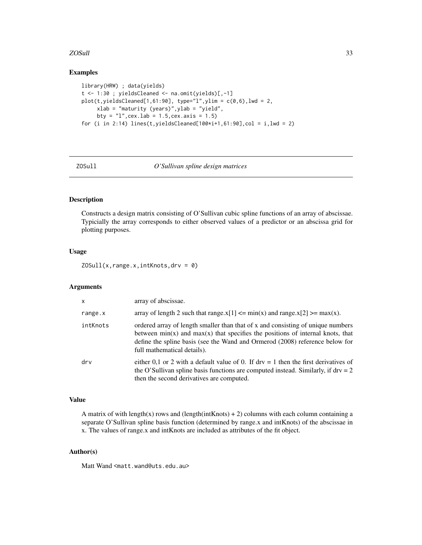# <span id="page-32-0"></span>zosull 33

# Examples

```
library(HRW) ; data(yields)
t <- 1:30 ; yieldsCleaned <- na.omit(yields)[,-1]
plot(t, yield sCleaned[1, 61:90], type="1", ylim = c(0, 6), lwd = 2,xlab = "maturity (years)",ylab = "yield",
     bty = "l", cex.lab = 1.5,cex.axis = 1.5)
for (i in 2:14) lines(t, yieldsCleaned[100*i+1, 61:90], col = i, lwd = 2)
```
# ZOSull *O'Sullivan spline design matrices*

# Description

Constructs a design matrix consisting of O'Sullivan cubic spline functions of an array of abscissae. Typicially the array corresponds to either observed values of a predictor or an abscissa grid for plotting purposes.

# Usage

ZOSull(x,range.x,intKnots,drv = 0)

#### Arguments

| $\mathsf{x}$ | array of abscissae.                                                                                                                                                                                                                                                                  |
|--------------|--------------------------------------------------------------------------------------------------------------------------------------------------------------------------------------------------------------------------------------------------------------------------------------|
| range.x      | array of length 2 such that range.x[1] $\leq$ min(x) and range.x[2] $\geq$ max(x).                                                                                                                                                                                                   |
| intKnots     | ordered array of length smaller than that of x and consisting of unique numbers<br>between $min(x)$ and $max(x)$ that specifies the positions of internal knots, that<br>define the spline basis (see the Wand and Ormerod (2008) reference below for<br>full mathematical details). |
| drv          | either 0,1 or 2 with a default value of 0. If $\text{drv} = 1$ then the first derivatives of<br>the O'Sullivan spline basis functions are computed instead. Similarly, if $drv = 2$<br>then the second derivatives are computed.                                                     |

#### Value

A matrix of with length(x) rows and (length(intKnots) + 2) columns with each column containing a separate O'Sullivan spline basis function (determined by range.x and intKnots) of the abscissae in x. The values of range.x and intKnots are included as attributes of the fit object.

# Author(s)

Matt Wand <matt.wand@uts.edu.au>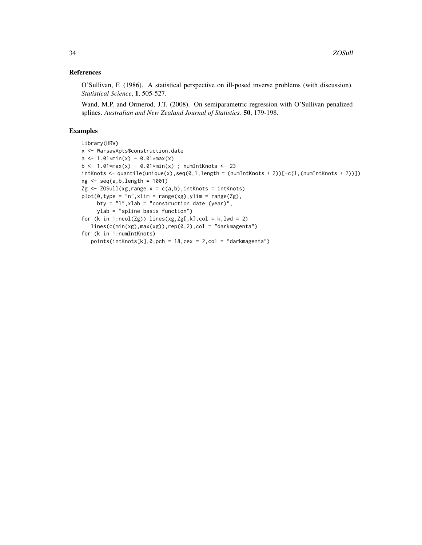# References

O'Sullivan, F. (1986). A statistical perspective on ill-posed inverse problems (with discussion). *Statistical Science*, 1, 505-527.

Wand, M.P. and Ormerod, J.T. (2008). On semiparametric regression with O'Sullivan penalized splines. *Australian and New Zealand Journal of Statistics.* 50, 179-198.

```
library(HRW)
x <- WarsawApts$construction.date
a \leq 1.01 \times min(x) - 0.01 \times max(x)b \le -1.01*max(x) - 0.01*min(x); numIntKnots <- 23
intKnots < -quantile(unique(x),seq(0,1,length = (numIntKnots + 2))[-c(1,(numIntKnots + 2))])
xg \leftarrow seq(a, b, length = 1001)Zg \leftarrow ZOSu11(xg, range.x = c(a,b), intKnots = intKnots)plot(0, type = "n", xlim = range(xg), ylim = range(Zg),bty = "1",xlab = "construction date (year)",
     ylab = "spline basis function")
for (k in 1:ncol(Zg)) lines(xg,Zg[,k],col = k,lwd = 2)
   lines(c(min(xg),max(xg)), rep(0,2), col = "darkmagenta")for (k in 1:numIntKnots)
   points(intKnots[k],0,pch = 18,cex = 2,col = "darkmagenta")
```